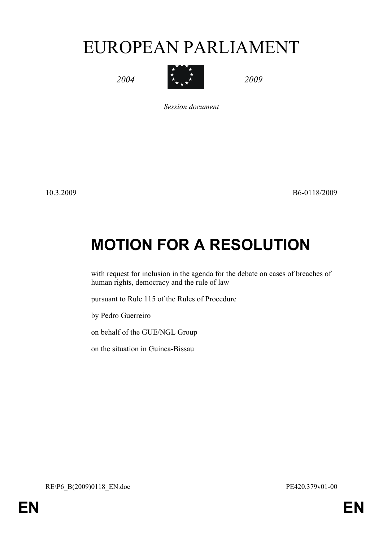# EUROPEAN PARLIAMENT

*2004*



*2009*

*Session document*

10.3.2009 B6-0118/2009

# **MOTION FOR A RESOLUTION**

with request for inclusion in the agenda for the debate on cases of breaches of human rights, democracy and the rule of law

pursuant to Rule 115 of the Rules of Procedure

by Pedro Guerreiro

on behalf of the GUE/NGL Group

<span id="page-0-0"></span>on the situation in Guinea-Bissau

<span id="page-0-1"></span>RE\P6\_B(2009)0118\_EN.doc PE420.379v01-00

**EN EN**